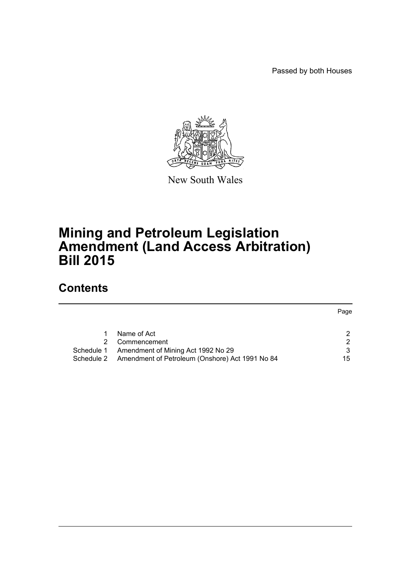Passed by both Houses



New South Wales

# **Mining and Petroleum Legislation Amendment (Land Access Arbitration) Bill 2015**

# **Contents**

|            |                                                            | Page |
|------------|------------------------------------------------------------|------|
|            |                                                            |      |
|            | Name of Act                                                | 2    |
|            | Commencement                                               | 2    |
| Schedule 1 | Amendment of Mining Act 1992 No 29                         |      |
|            | Schedule 2 Amendment of Petroleum (Onshore) Act 1991 No 84 | 15   |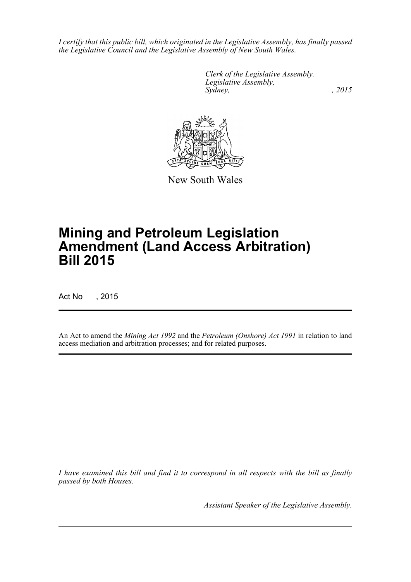*I certify that this public bill, which originated in the Legislative Assembly, has finally passed the Legislative Council and the Legislative Assembly of New South Wales.*

> *Clerk of the Legislative Assembly. Legislative Assembly, Sydney,* , 2015



New South Wales

# **Mining and Petroleum Legislation Amendment (Land Access Arbitration) Bill 2015**

Act No , 2015

An Act to amend the *Mining Act 1992* and the *Petroleum (Onshore) Act 1991* in relation to land access mediation and arbitration processes; and for related purposes.

*I have examined this bill and find it to correspond in all respects with the bill as finally passed by both Houses.*

*Assistant Speaker of the Legislative Assembly.*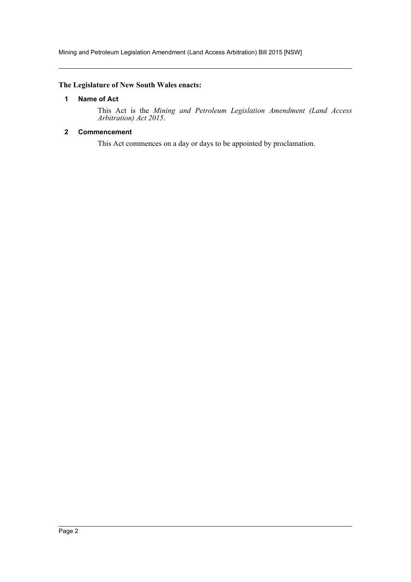# <span id="page-2-0"></span>**The Legislature of New South Wales enacts:**

#### **1 Name of Act**

This Act is the *Mining and Petroleum Legislation Amendment (Land Access Arbitration) Act 2015*.

# <span id="page-2-1"></span>**2 Commencement**

This Act commences on a day or days to be appointed by proclamation.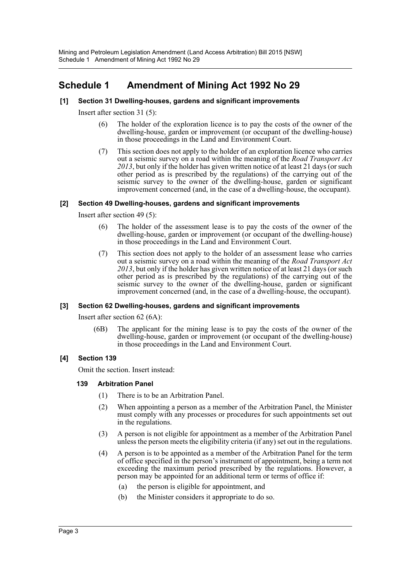# <span id="page-3-0"></span>**Schedule 1 Amendment of Mining Act 1992 No 29**

# **[1] Section 31 Dwelling-houses, gardens and significant improvements**

Insert after section 31 (5):

- (6) The holder of the exploration licence is to pay the costs of the owner of the dwelling-house, garden or improvement (or occupant of the dwelling-house) in those proceedings in the Land and Environment Court.
- (7) This section does not apply to the holder of an exploration licence who carries out a seismic survey on a road within the meaning of the *Road Transport Act 2013*, but only if the holder has given written notice of at least 21 days (or such other period as is prescribed by the regulations) of the carrying out of the seismic survey to the owner of the dwelling-house, garden or significant improvement concerned (and, in the case of a dwelling-house, the occupant).

#### **[2] Section 49 Dwelling-houses, gardens and significant improvements**

Insert after section 49 (5):

- (6) The holder of the assessment lease is to pay the costs of the owner of the dwelling-house, garden or improvement (or occupant of the dwelling-house) in those proceedings in the Land and Environment Court.
- (7) This section does not apply to the holder of an assessment lease who carries out a seismic survey on a road within the meaning of the *Road Transport Act 2013*, but only if the holder has given written notice of at least 21 days (or such other period as is prescribed by the regulations) of the carrying out of the seismic survey to the owner of the dwelling-house, garden or significant improvement concerned (and, in the case of a dwelling-house, the occupant).

#### **[3] Section 62 Dwelling-houses, gardens and significant improvements**

Insert after section 62 (6A):

(6B) The applicant for the mining lease is to pay the costs of the owner of the dwelling-house, garden or improvement (or occupant of the dwelling-house) in those proceedings in the Land and Environment Court.

#### **[4] Section 139**

Omit the section. Insert instead:

# **139 Arbitration Panel**

- (1) There is to be an Arbitration Panel.
- (2) When appointing a person as a member of the Arbitration Panel, the Minister must comply with any processes or procedures for such appointments set out in the regulations.
- (3) A person is not eligible for appointment as a member of the Arbitration Panel unless the person meets the eligibility criteria (if any) set out in the regulations.
- (4) A person is to be appointed as a member of the Arbitration Panel for the term of office specified in the person's instrument of appointment, being a term not exceeding the maximum period prescribed by the regulations. However, a person may be appointed for an additional term or terms of office if:
	- (a) the person is eligible for appointment, and
	- (b) the Minister considers it appropriate to do so.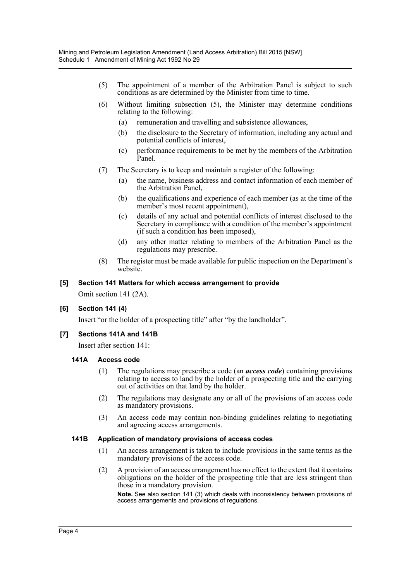- (5) The appointment of a member of the Arbitration Panel is subject to such conditions as are determined by the Minister from time to time.
- (6) Without limiting subsection (5), the Minister may determine conditions relating to the following:
	- (a) remuneration and travelling and subsistence allowances,
	- (b) the disclosure to the Secretary of information, including any actual and potential conflicts of interest,
	- (c) performance requirements to be met by the members of the Arbitration Panel.
- (7) The Secretary is to keep and maintain a register of the following:
	- (a) the name, business address and contact information of each member of the Arbitration Panel,
	- (b) the qualifications and experience of each member (as at the time of the member's most recent appointment),
	- (c) details of any actual and potential conflicts of interest disclosed to the Secretary in compliance with a condition of the member's appointment (if such a condition has been imposed),
	- (d) any other matter relating to members of the Arbitration Panel as the regulations may prescribe.
- (8) The register must be made available for public inspection on the Department's website.

#### **[5] Section 141 Matters for which access arrangement to provide**

Omit section 141 (2A).

#### **[6] Section 141 (4)**

Insert "or the holder of a prospecting title" after "by the landholder".

#### **[7] Sections 141A and 141B**

Insert after section 141:

#### **141A Access code**

- (1) The regulations may prescribe a code (an *access code*) containing provisions relating to access to land by the holder of a prospecting title and the carrying out of activities on that land by the holder.
- (2) The regulations may designate any or all of the provisions of an access code as mandatory provisions.
- (3) An access code may contain non-binding guidelines relating to negotiating and agreeing access arrangements.

#### **141B Application of mandatory provisions of access codes**

- (1) An access arrangement is taken to include provisions in the same terms as the mandatory provisions of the access code.
- (2) A provision of an access arrangement has no effect to the extent that it contains obligations on the holder of the prospecting title that are less stringent than those in a mandatory provision.

**Note.** See also section 141 (3) which deals with inconsistency between provisions of access arrangements and provisions of regulations.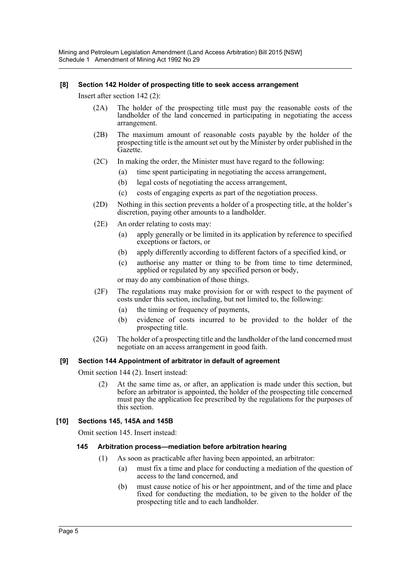Mining and Petroleum Legislation Amendment (Land Access Arbitration) Bill 2015 [NSW] Schedule 1 Amendment of Mining Act 1992 No 29

#### **[8] Section 142 Holder of prospecting title to seek access arrangement**

Insert after section 142 (2):

- (2A) The holder of the prospecting title must pay the reasonable costs of the landholder of the land concerned in participating in negotiating the access arrangement.
- (2B) The maximum amount of reasonable costs payable by the holder of the prospecting title is the amount set out by the Minister by order published in the Gazette.
- (2C) In making the order, the Minister must have regard to the following:
	- (a) time spent participating in negotiating the access arrangement,
	- (b) legal costs of negotiating the access arrangement,
	- (c) costs of engaging experts as part of the negotiation process.
- (2D) Nothing in this section prevents a holder of a prospecting title, at the holder's discretion, paying other amounts to a landholder.
- (2E) An order relating to costs may:
	- (a) apply generally or be limited in its application by reference to specified exceptions or factors, or
	- (b) apply differently according to different factors of a specified kind, or
	- (c) authorise any matter or thing to be from time to time determined, applied or regulated by any specified person or body,

or may do any combination of those things.

- (2F) The regulations may make provision for or with respect to the payment of costs under this section, including, but not limited to, the following:
	- (a) the timing or frequency of payments,
	- (b) evidence of costs incurred to be provided to the holder of the prospecting title.
- (2G) The holder of a prospecting title and the landholder of the land concerned must negotiate on an access arrangement in good faith.

#### **[9] Section 144 Appointment of arbitrator in default of agreement**

Omit section 144 (2). Insert instead:

(2) At the same time as, or after, an application is made under this section, but before an arbitrator is appointed, the holder of the prospecting title concerned must pay the application fee prescribed by the regulations for the purposes of this section.

#### **[10] Sections 145, 145A and 145B**

Omit section 145. Insert instead:

#### **145 Arbitration process—mediation before arbitration hearing**

- (1) As soon as practicable after having been appointed, an arbitrator:
	- (a) must fix a time and place for conducting a mediation of the question of access to the land concerned, and
	- (b) must cause notice of his or her appointment, and of the time and place fixed for conducting the mediation, to be given to the holder of the prospecting title and to each landholder.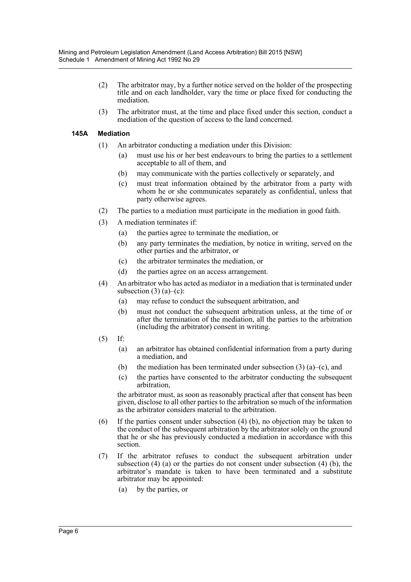- (2) The arbitrator may, by a further notice served on the holder of the prospecting title and on each landholder, vary the time or place fixed for conducting the mediation.
- (3) The arbitrator must, at the time and place fixed under this section, conduct a mediation of the question of access to the land concerned.

#### **145A Mediation**

- (1) An arbitrator conducting a mediation under this Division:
	- (a) must use his or her best endeavours to bring the parties to a settlement acceptable to all of them, and
	- (b) may communicate with the parties collectively or separately, and
	- (c) must treat information obtained by the arbitrator from a party with whom he or she communicates separately as confidential, unless that party otherwise agrees.
- (2) The parties to a mediation must participate in the mediation in good faith.
- (3) A mediation terminates if:
	- (a) the parties agree to terminate the mediation, or
	- (b) any party terminates the mediation, by notice in writing, served on the other parties and the arbitrator, or
	- (c) the arbitrator terminates the mediation, or
	- (d) the parties agree on an access arrangement.
- (4) An arbitrator who has acted as mediator in a mediation that is terminated under subsection  $(3)$   $(a)$ – $(c)$ :
	- (a) may refuse to conduct the subsequent arbitration, and
	- (b) must not conduct the subsequent arbitration unless, at the time of or after the termination of the mediation, all the parties to the arbitration (including the arbitrator) consent in writing.
- (5) If:
	- (a) an arbitrator has obtained confidential information from a party during a mediation, and
	- (b) the mediation has been terminated under subsection  $(3)$   $(a)$ – $(c)$ , and
	- (c) the parties have consented to the arbitrator conducting the subsequent arbitration,

the arbitrator must, as soon as reasonably practical after that consent has been given, disclose to all other parties to the arbitration so much of the information as the arbitrator considers material to the arbitration.

- (6) If the parties consent under subsection (4) (b), no objection may be taken to the conduct of the subsequent arbitration by the arbitrator solely on the ground that he or she has previously conducted a mediation in accordance with this section.
- (7) If the arbitrator refuses to conduct the subsequent arbitration under subsection (4) (a) or the parties do not consent under subsection (4) (b), the arbitrator's mandate is taken to have been terminated and a substitute arbitrator may be appointed:
	- (a) by the parties, or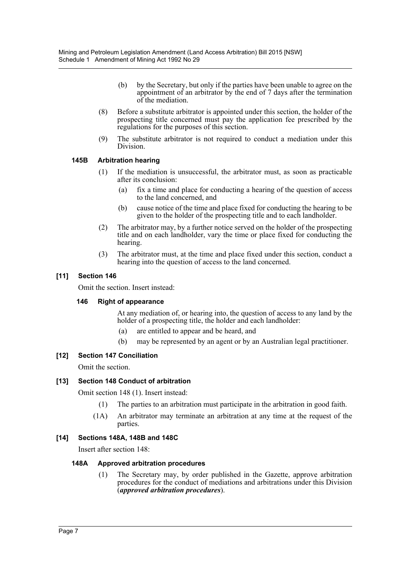- (b) by the Secretary, but only if the parties have been unable to agree on the appointment of an arbitrator by the end of 7 days after the termination of the mediation.
- (8) Before a substitute arbitrator is appointed under this section, the holder of the prospecting title concerned must pay the application fee prescribed by the regulations for the purposes of this section.
- (9) The substitute arbitrator is not required to conduct a mediation under this Division.

# **145B Arbitration hearing**

- (1) If the mediation is unsuccessful, the arbitrator must, as soon as practicable after its conclusion:
	- (a) fix a time and place for conducting a hearing of the question of access to the land concerned, and
	- (b) cause notice of the time and place fixed for conducting the hearing to be given to the holder of the prospecting title and to each landholder.
- (2) The arbitrator may, by a further notice served on the holder of the prospecting title and on each landholder, vary the time or place fixed for conducting the hearing.
- (3) The arbitrator must, at the time and place fixed under this section, conduct a hearing into the question of access to the land concerned.

# **[11] Section 146**

Omit the section. Insert instead:

#### **146 Right of appearance**

At any mediation of, or hearing into, the question of access to any land by the holder of a prospecting title, the holder and each landholder:

- (a) are entitled to appear and be heard, and
- (b) may be represented by an agent or by an Australian legal practitioner.

# **[12] Section 147 Conciliation**

Omit the section.

# **[13] Section 148 Conduct of arbitration**

Omit section 148 (1). Insert instead:

- (1) The parties to an arbitration must participate in the arbitration in good faith.
- (1A) An arbitrator may terminate an arbitration at any time at the request of the parties.

#### **[14] Sections 148A, 148B and 148C**

Insert after section 148:

#### **148A Approved arbitration procedures**

(1) The Secretary may, by order published in the Gazette, approve arbitration procedures for the conduct of mediations and arbitrations under this Division (*approved arbitration procedures*).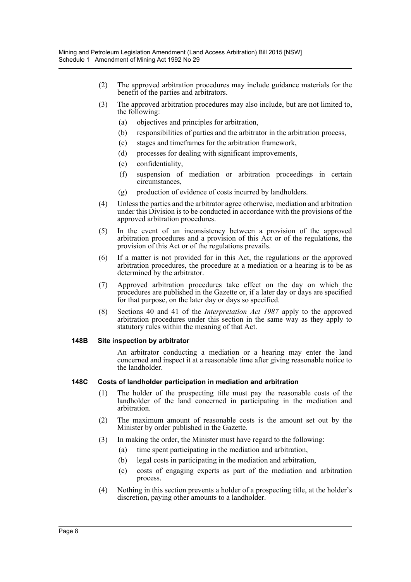- (2) The approved arbitration procedures may include guidance materials for the benefit of the parties and arbitrators.
- (3) The approved arbitration procedures may also include, but are not limited to, the following:
	- (a) objectives and principles for arbitration,
	- (b) responsibilities of parties and the arbitrator in the arbitration process,
	- (c) stages and timeframes for the arbitration framework,
	- (d) processes for dealing with significant improvements,
	- (e) confidentiality,
	- (f) suspension of mediation or arbitration proceedings in certain circumstances,
	- (g) production of evidence of costs incurred by landholders.
- (4) Unless the parties and the arbitrator agree otherwise, mediation and arbitration under this Division is to be conducted in accordance with the provisions of the approved arbitration procedures.
- (5) In the event of an inconsistency between a provision of the approved arbitration procedures and a provision of this Act or of the regulations, the provision of this Act or of the regulations prevails.
- (6) If a matter is not provided for in this Act, the regulations or the approved arbitration procedures, the procedure at a mediation or a hearing is to be as determined by the arbitrator.
- (7) Approved arbitration procedures take effect on the day on which the procedures are published in the Gazette or, if a later day or days are specified for that purpose, on the later day or days so specified.
- (8) Sections 40 and 41 of the *Interpretation Act 1987* apply to the approved arbitration procedures under this section in the same way as they apply to statutory rules within the meaning of that Act.

#### **148B Site inspection by arbitrator**

An arbitrator conducting a mediation or a hearing may enter the land concerned and inspect it at a reasonable time after giving reasonable notice to the landholder.

#### **148C Costs of landholder participation in mediation and arbitration**

- (1) The holder of the prospecting title must pay the reasonable costs of the landholder of the land concerned in participating in the mediation and arbitration.
- (2) The maximum amount of reasonable costs is the amount set out by the Minister by order published in the Gazette.
- (3) In making the order, the Minister must have regard to the following:
	- (a) time spent participating in the mediation and arbitration,
	- (b) legal costs in participating in the mediation and arbitration,
	- (c) costs of engaging experts as part of the mediation and arbitration process.
- (4) Nothing in this section prevents a holder of a prospecting title, at the holder's discretion, paying other amounts to a landholder.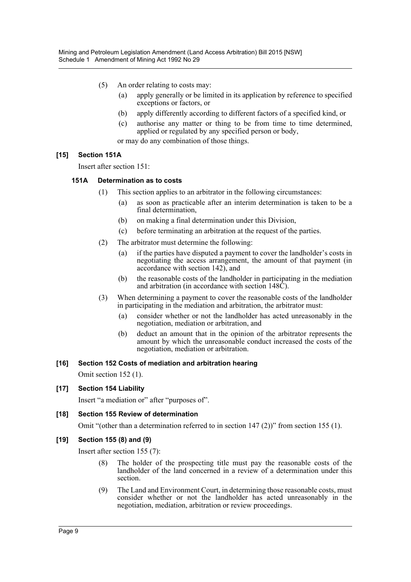- (5) An order relating to costs may:
	- (a) apply generally or be limited in its application by reference to specified exceptions or factors, or
	- (b) apply differently according to different factors of a specified kind, or
	- (c) authorise any matter or thing to be from time to time determined, applied or regulated by any specified person or body,

or may do any combination of those things.

# **[15] Section 151A**

Insert after section 151:

# **151A Determination as to costs**

- (1) This section applies to an arbitrator in the following circumstances:
	- (a) as soon as practicable after an interim determination is taken to be a final determination,
	- (b) on making a final determination under this Division,
	- (c) before terminating an arbitration at the request of the parties.
- (2) The arbitrator must determine the following:
	- (a) if the parties have disputed a payment to cover the landholder's costs in negotiating the access arrangement, the amount of that payment (in accordance with section 142), and
	- (b) the reasonable costs of the landholder in participating in the mediation and arbitration (in accordance with section 148C).
- (3) When determining a payment to cover the reasonable costs of the landholder in participating in the mediation and arbitration, the arbitrator must:
	- (a) consider whether or not the landholder has acted unreasonably in the negotiation, mediation or arbitration, and
	- (b) deduct an amount that in the opinion of the arbitrator represents the amount by which the unreasonable conduct increased the costs of the negotiation, mediation or arbitration.

#### **[16] Section 152 Costs of mediation and arbitration hearing**

Omit section 152 (1).

#### **[17] Section 154 Liability**

Insert "a mediation or" after "purposes of".

#### **[18] Section 155 Review of determination**

Omit "(other than a determination referred to in section 147 (2))" from section 155 (1).

#### **[19] Section 155 (8) and (9)**

Insert after section 155 (7):

- (8) The holder of the prospecting title must pay the reasonable costs of the landholder of the land concerned in a review of a determination under this section.
- (9) The Land and Environment Court, in determining those reasonable costs, must consider whether or not the landholder has acted unreasonably in the negotiation, mediation, arbitration or review proceedings.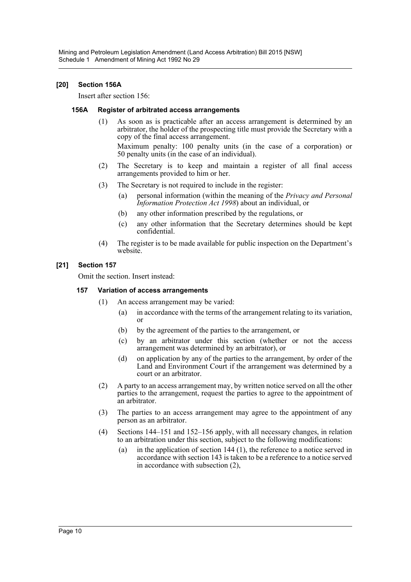Mining and Petroleum Legislation Amendment (Land Access Arbitration) Bill 2015 [NSW] Schedule 1 Amendment of Mining Act 1992 No 29

#### **[20] Section 156A**

Insert after section 156:

#### **156A Register of arbitrated access arrangements**

(1) As soon as is practicable after an access arrangement is determined by an arbitrator, the holder of the prospecting title must provide the Secretary with a copy of the final access arrangement. Maximum penalty: 100 penalty units (in the case of a corporation) or

50 penalty units (in the case of an individual). (2) The Secretary is to keep and maintain a register of all final access arrangements provided to him or her.

- (3) The Secretary is not required to include in the register:
	- (a) personal information (within the meaning of the *Privacy and Personal Information Protection Act 1998*) about an individual, or
	- (b) any other information prescribed by the regulations, or
	- (c) any other information that the Secretary determines should be kept confidential.
- (4) The register is to be made available for public inspection on the Department's website.

#### **[21] Section 157**

Omit the section. Insert instead:

#### **157 Variation of access arrangements**

- (1) An access arrangement may be varied:
	- (a) in accordance with the terms of the arrangement relating to its variation, or
	- (b) by the agreement of the parties to the arrangement, or
	- (c) by an arbitrator under this section (whether or not the access arrangement was determined by an arbitrator), or
	- (d) on application by any of the parties to the arrangement, by order of the Land and Environment Court if the arrangement was determined by a court or an arbitrator.
- (2) A party to an access arrangement may, by written notice served on all the other parties to the arrangement, request the parties to agree to the appointment of an arbitrator.
- (3) The parties to an access arrangement may agree to the appointment of any person as an arbitrator.
- (4) Sections 144–151 and 152–156 apply, with all necessary changes, in relation to an arbitration under this section, subject to the following modifications:
	- (a) in the application of section 144 (1), the reference to a notice served in accordance with section 143 is taken to be a reference to a notice served in accordance with subsection (2),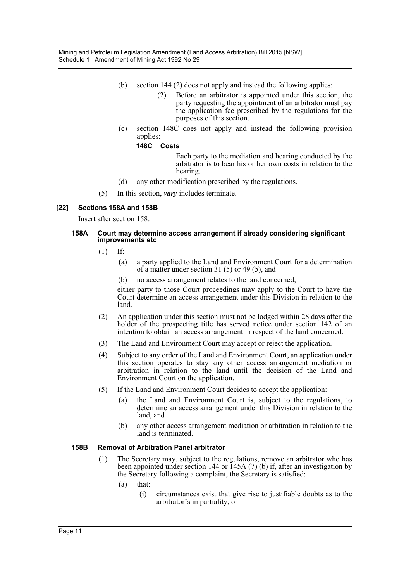- (b) section 144 (2) does not apply and instead the following applies:
	- (2) Before an arbitrator is appointed under this section, the party requesting the appointment of an arbitrator must pay the application fee prescribed by the regulations for the purposes of this section.
- (c) section 148C does not apply and instead the following provision applies:

#### **148C Costs**

Each party to the mediation and hearing conducted by the arbitrator is to bear his or her own costs in relation to the hearing.

- (d) any other modification prescribed by the regulations.
- (5) In this section, *vary* includes terminate.

#### **[22] Sections 158A and 158B**

Insert after section 158:

#### **158A Court may determine access arrangement if already considering significant improvements etc**

- (1) If:
	- (a) a party applied to the Land and Environment Court for a determination of a matter under section 31 (5) or 49 (5), and
	- (b) no access arrangement relates to the land concerned,

either party to those Court proceedings may apply to the Court to have the Court determine an access arrangement under this Division in relation to the land.

- (2) An application under this section must not be lodged within 28 days after the holder of the prospecting title has served notice under section 142 of an intention to obtain an access arrangement in respect of the land concerned.
- (3) The Land and Environment Court may accept or reject the application.
- (4) Subject to any order of the Land and Environment Court, an application under this section operates to stay any other access arrangement mediation or arbitration in relation to the land until the decision of the Land and Environment Court on the application.
- (5) If the Land and Environment Court decides to accept the application:
	- (a) the Land and Environment Court is, subject to the regulations, to determine an access arrangement under this Division in relation to the land, and
	- (b) any other access arrangement mediation or arbitration in relation to the land is terminated.

#### **158B Removal of Arbitration Panel arbitrator**

- (1) The Secretary may, subject to the regulations, remove an arbitrator who has been appointed under section 144 or 145A (7) (b) if, after an investigation by the Secretary following a complaint, the Secretary is satisfied:
	- (a) that:
		- (i) circumstances exist that give rise to justifiable doubts as to the arbitrator's impartiality, or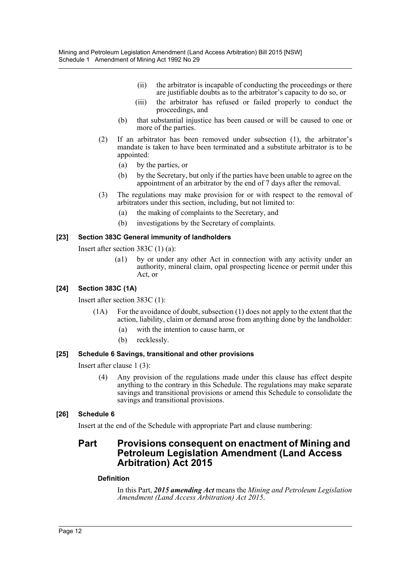- (ii) the arbitrator is incapable of conducting the proceedings or there are justifiable doubts as to the arbitrator's capacity to do so, or
- (iii) the arbitrator has refused or failed properly to conduct the proceedings, and
- (b) that substantial injustice has been caused or will be caused to one or more of the parties.
- (2) If an arbitrator has been removed under subsection (1), the arbitrator's mandate is taken to have been terminated and a substitute arbitrator is to be appointed:
	- (a) by the parties, or
	- (b) by the Secretary, but only if the parties have been unable to agree on the appointment of an arbitrator by the end of 7 days after the removal.
- (3) The regulations may make provision for or with respect to the removal of arbitrators under this section, including, but not limited to:
	- (a) the making of complaints to the Secretary, and
	- (b) investigations by the Secretary of complaints.

# **[23] Section 383C General immunity of landholders**

Insert after section 383C (1) (a):

(a1) by or under any other Act in connection with any activity under an authority, mineral claim, opal prospecting licence or permit under this Act, or

# **[24] Section 383C (1A)**

Insert after section 383C (1):

- (1A) For the avoidance of doubt, subsection (1) does not apply to the extent that the action, liability, claim or demand arose from anything done by the landholder:
	- (a) with the intention to cause harm, or
	- (b) recklessly.

# **[25] Schedule 6 Savings, transitional and other provisions**

Insert after clause 1 (3):

(4) Any provision of the regulations made under this clause has effect despite anything to the contrary in this Schedule. The regulations may make separate savings and transitional provisions or amend this Schedule to consolidate the savings and transitional provisions.

# **[26] Schedule 6**

Insert at the end of the Schedule with appropriate Part and clause numbering:

# **Part Provisions consequent on enactment of Mining and Petroleum Legislation Amendment (Land Access Arbitration) Act 2015**

#### **Definition**

In this Part, *2015 amending Act* means the *Mining and Petroleum Legislation Amendment (Land Access Arbitration) Act 2015*.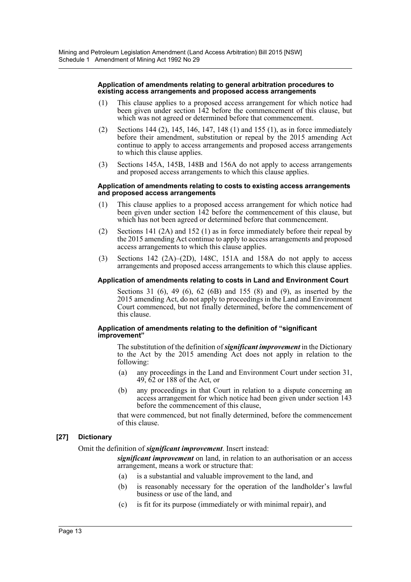#### **Application of amendments relating to general arbitration procedures to existing access arrangements and proposed access arrangements**

- (1) This clause applies to a proposed access arrangement for which notice had been given under section 142 before the commencement of this clause, but which was not agreed or determined before that commencement.
- (2) Sections 144 (2), 145, 146, 147, 148 (1) and 155 (1), as in force immediately before their amendment, substitution or repeal by the 2015 amending Act continue to apply to access arrangements and proposed access arrangements to which this clause applies.
- (3) Sections 145A, 145B, 148B and 156A do not apply to access arrangements and proposed access arrangements to which this clause applies.

#### **Application of amendments relating to costs to existing access arrangements and proposed access arrangements**

- (1) This clause applies to a proposed access arrangement for which notice had been given under section 142 before the commencement of this clause, but which has not been agreed or determined before that commencement.
- (2) Sections 141 (2A) and 152 (1) as in force immediately before their repeal by the 2015 amending Act continue to apply to access arrangements and proposed access arrangements to which this clause applies.
- (3) Sections 142  $(2A)$ – $(2D)$ , 148C, 151A and 158A do not apply to access arrangements and proposed access arrangements to which this clause applies.

#### **Application of amendments relating to costs in Land and Environment Court**

Sections 31 (6), 49 (6), 62 (6B) and 155 (8) and (9), as inserted by the 2015 amending Act, do not apply to proceedings in the Land and Environment Court commenced, but not finally determined, before the commencement of this clause.

#### **Application of amendments relating to the definition of "significant improvement"**

The substitution of the definition of *significant improvement* in the Dictionary to the Act by the 2015 amending Act does not apply in relation to the following:

- (a) any proceedings in the Land and Environment Court under section 31, 49, 62 or 188 of the Act, or
- (b) any proceedings in that Court in relation to a dispute concerning an access arrangement for which notice had been given under section 143 before the commencement of this clause,

that were commenced, but not finally determined, before the commencement of this clause.

# **[27] Dictionary**

#### Omit the definition of *significant improvement*. Insert instead:

*significant improvement* on land, in relation to an authorisation or an access arrangement, means a work or structure that:

- (a) is a substantial and valuable improvement to the land, and
- (b) is reasonably necessary for the operation of the landholder's lawful business or use of the land, and
- (c) is fit for its purpose (immediately or with minimal repair), and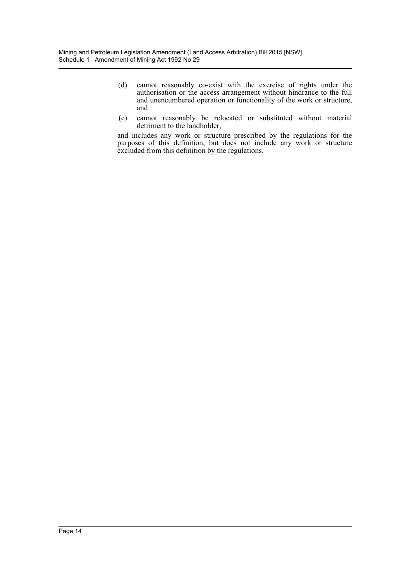- (d) cannot reasonably co-exist with the exercise of rights under the authorisation or the access arrangement without hindrance to the full and unencumbered operation or functionality of the work or structure, and
- (e) cannot reasonably be relocated or substituted without material detriment to the landholder,

and includes any work or structure prescribed by the regulations for the purposes of this definition, but does not include any work or structure excluded from this definition by the regulations.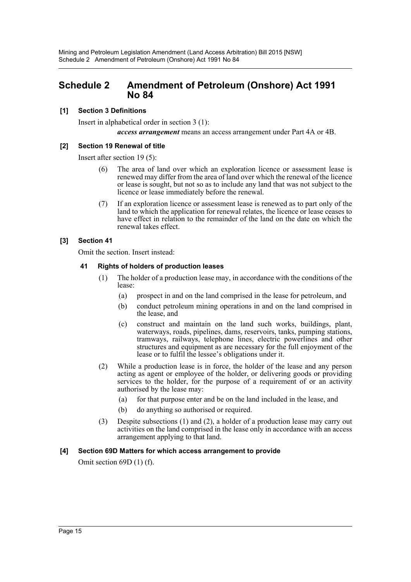# <span id="page-15-0"></span>**Schedule 2 Amendment of Petroleum (Onshore) Act 1991 No 84**

# **[1] Section 3 Definitions**

Insert in alphabetical order in section 3 (1): *access arrangement* means an access arrangement under Part 4A or 4B.

# **[2] Section 19 Renewal of title**

Insert after section 19 (5):

- (6) The area of land over which an exploration licence or assessment lease is renewed may differ from the area of land over which the renewal of the licence or lease is sought, but not so as to include any land that was not subject to the licence or lease immediately before the renewal.
- (7) If an exploration licence or assessment lease is renewed as to part only of the land to which the application for renewal relates, the licence or lease ceases to have effect in relation to the remainder of the land on the date on which the renewal takes effect.

# **[3] Section 41**

Omit the section. Insert instead:

# **41 Rights of holders of production leases**

- (1) The holder of a production lease may, in accordance with the conditions of the lease:
	- (a) prospect in and on the land comprised in the lease for petroleum, and
	- (b) conduct petroleum mining operations in and on the land comprised in the lease, and
	- (c) construct and maintain on the land such works, buildings, plant, waterways, roads, pipelines, dams, reservoirs, tanks, pumping stations, tramways, railways, telephone lines, electric powerlines and other structures and equipment as are necessary for the full enjoyment of the lease or to fulfil the lessee's obligations under it.
- (2) While a production lease is in force, the holder of the lease and any person acting as agent or employee of the holder, or delivering goods or providing services to the holder, for the purpose of a requirement of or an activity authorised by the lease may:
	- (a) for that purpose enter and be on the land included in the lease, and
	- (b) do anything so authorised or required.
- (3) Despite subsections (1) and (2), a holder of a production lease may carry out activities on the land comprised in the lease only in accordance with an access arrangement applying to that land.

# **[4] Section 69D Matters for which access arrangement to provide**

Omit section 69D (1) (f).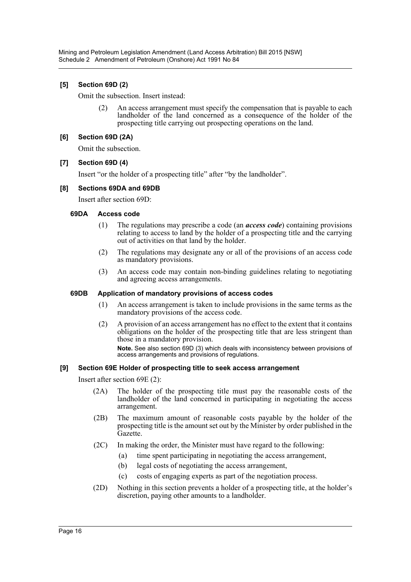# **[5] Section 69D (2)**

Omit the subsection. Insert instead:

(2) An access arrangement must specify the compensation that is payable to each landholder of the land concerned as a consequence of the holder of the prospecting title carrying out prospecting operations on the land.

# **[6] Section 69D (2A)**

Omit the subsection.

# **[7] Section 69D (4)**

Insert "or the holder of a prospecting title" after "by the landholder".

# **[8] Sections 69DA and 69DB**

Insert after section 69D:

#### **69DA Access code**

- (1) The regulations may prescribe a code (an *access code*) containing provisions relating to access to land by the holder of a prospecting title and the carrying out of activities on that land by the holder.
- (2) The regulations may designate any or all of the provisions of an access code as mandatory provisions.
- (3) An access code may contain non-binding guidelines relating to negotiating and agreeing access arrangements.

#### **69DB Application of mandatory provisions of access codes**

- (1) An access arrangement is taken to include provisions in the same terms as the mandatory provisions of the access code.
- (2) A provision of an access arrangement has no effect to the extent that it contains obligations on the holder of the prospecting title that are less stringent than those in a mandatory provision.

**Note.** See also section 69D (3) which deals with inconsistency between provisions of access arrangements and provisions of regulations.

#### **[9] Section 69E Holder of prospecting title to seek access arrangement**

Insert after section 69E (2):

- (2A) The holder of the prospecting title must pay the reasonable costs of the landholder of the land concerned in participating in negotiating the access arrangement.
- (2B) The maximum amount of reasonable costs payable by the holder of the prospecting title is the amount set out by the Minister by order published in the Gazette.
- (2C) In making the order, the Minister must have regard to the following:
	- (a) time spent participating in negotiating the access arrangement,
	- (b) legal costs of negotiating the access arrangement,
	- (c) costs of engaging experts as part of the negotiation process.
- (2D) Nothing in this section prevents a holder of a prospecting title, at the holder's discretion, paying other amounts to a landholder.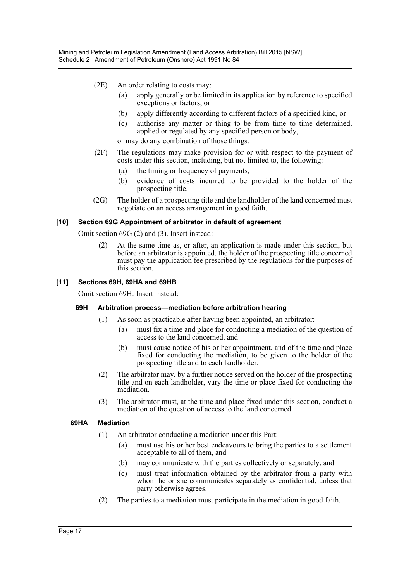- (2E) An order relating to costs may:
	- (a) apply generally or be limited in its application by reference to specified exceptions or factors, or
	- (b) apply differently according to different factors of a specified kind, or
	- (c) authorise any matter or thing to be from time to time determined, applied or regulated by any specified person or body,

or may do any combination of those things.

- (2F) The regulations may make provision for or with respect to the payment of costs under this section, including, but not limited to, the following:
	- (a) the timing or frequency of payments,
	- (b) evidence of costs incurred to be provided to the holder of the prospecting title.
- (2G) The holder of a prospecting title and the landholder of the land concerned must negotiate on an access arrangement in good faith.

#### **[10] Section 69G Appointment of arbitrator in default of agreement**

Omit section 69G (2) and (3). Insert instead:

(2) At the same time as, or after, an application is made under this section, but before an arbitrator is appointed, the holder of the prospecting title concerned must pay the application fee prescribed by the regulations for the purposes of this section.

# **[11] Sections 69H, 69HA and 69HB**

Omit section 69H. Insert instead:

#### **69H Arbitration process—mediation before arbitration hearing**

- (1) As soon as practicable after having been appointed, an arbitrator:
	- (a) must fix a time and place for conducting a mediation of the question of access to the land concerned, and
	- (b) must cause notice of his or her appointment, and of the time and place fixed for conducting the mediation, to be given to the holder of the prospecting title and to each landholder.
- (2) The arbitrator may, by a further notice served on the holder of the prospecting title and on each landholder, vary the time or place fixed for conducting the mediation.
- (3) The arbitrator must, at the time and place fixed under this section, conduct a mediation of the question of access to the land concerned.

#### **69HA Mediation**

- (1) An arbitrator conducting a mediation under this Part:
	- (a) must use his or her best endeavours to bring the parties to a settlement acceptable to all of them, and
	- (b) may communicate with the parties collectively or separately, and
	- (c) must treat information obtained by the arbitrator from a party with whom he or she communicates separately as confidential, unless that party otherwise agrees.
- (2) The parties to a mediation must participate in the mediation in good faith.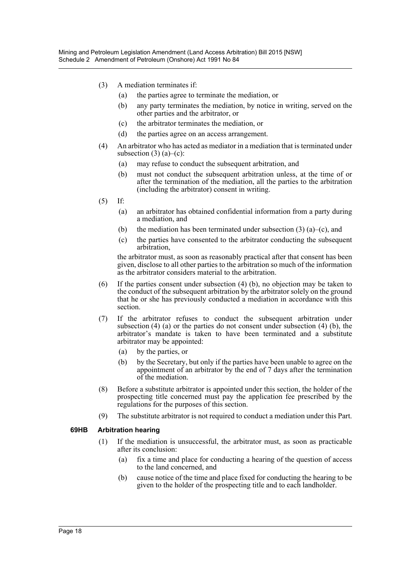- (3) A mediation terminates if:
	- (a) the parties agree to terminate the mediation, or
	- (b) any party terminates the mediation, by notice in writing, served on the other parties and the arbitrator, or
	- (c) the arbitrator terminates the mediation, or
	- (d) the parties agree on an access arrangement.
- (4) An arbitrator who has acted as mediator in a mediation that is terminated under subsection  $(3)$   $(a)$ – $(c)$ :
	- (a) may refuse to conduct the subsequent arbitration, and
	- (b) must not conduct the subsequent arbitration unless, at the time of or after the termination of the mediation, all the parties to the arbitration (including the arbitrator) consent in writing.
- (5) If:
	- (a) an arbitrator has obtained confidential information from a party during a mediation, and
	- (b) the mediation has been terminated under subsection  $(3)$   $(a)$ – $(c)$ , and
	- (c) the parties have consented to the arbitrator conducting the subsequent arbitration,

the arbitrator must, as soon as reasonably practical after that consent has been given, disclose to all other parties to the arbitration so much of the information as the arbitrator considers material to the arbitration.

- (6) If the parties consent under subsection (4) (b), no objection may be taken to the conduct of the subsequent arbitration by the arbitrator solely on the ground that he or she has previously conducted a mediation in accordance with this section.
- (7) If the arbitrator refuses to conduct the subsequent arbitration under subsection  $(4)$  (a) or the parties do not consent under subsection  $(4)$  (b), the arbitrator's mandate is taken to have been terminated and a substitute arbitrator may be appointed:
	- (a) by the parties, or
	- (b) by the Secretary, but only if the parties have been unable to agree on the appointment of an arbitrator by the end of 7 days after the termination of the mediation.
- (8) Before a substitute arbitrator is appointed under this section, the holder of the prospecting title concerned must pay the application fee prescribed by the regulations for the purposes of this section.
- (9) The substitute arbitrator is not required to conduct a mediation under this Part.

#### **69HB Arbitration hearing**

- (1) If the mediation is unsuccessful, the arbitrator must, as soon as practicable after its conclusion:
	- (a) fix a time and place for conducting a hearing of the question of access to the land concerned, and
	- (b) cause notice of the time and place fixed for conducting the hearing to be given to the holder of the prospecting title and to each landholder.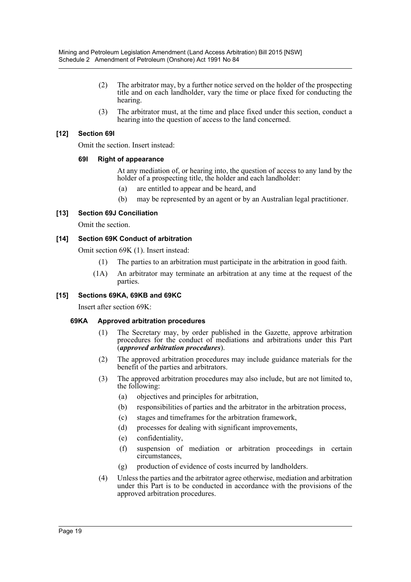- (2) The arbitrator may, by a further notice served on the holder of the prospecting title and on each landholder, vary the time or place fixed for conducting the hearing.
- (3) The arbitrator must, at the time and place fixed under this section, conduct a hearing into the question of access to the land concerned.

# **[12] Section 69I**

Omit the section. Insert instead:

#### **69I Right of appearance**

At any mediation of, or hearing into, the question of access to any land by the holder of a prospecting title, the holder and each landholder:

- (a) are entitled to appear and be heard, and
- (b) may be represented by an agent or by an Australian legal practitioner.

# **[13] Section 69J Conciliation**

Omit the section.

# **[14] Section 69K Conduct of arbitration**

Omit section 69K (1). Insert instead:

- (1) The parties to an arbitration must participate in the arbitration in good faith.
- (1A) An arbitrator may terminate an arbitration at any time at the request of the parties.

# **[15] Sections 69KA, 69KB and 69KC**

Insert after section 69K:

#### **69KA Approved arbitration procedures**

- (1) The Secretary may, by order published in the Gazette, approve arbitration procedures for the conduct of mediations and arbitrations under this Part (*approved arbitration procedures*).
- (2) The approved arbitration procedures may include guidance materials for the benefit of the parties and arbitrators.
- (3) The approved arbitration procedures may also include, but are not limited to, the following:
	- (a) objectives and principles for arbitration,
	- (b) responsibilities of parties and the arbitrator in the arbitration process,
	- (c) stages and timeframes for the arbitration framework,
	- (d) processes for dealing with significant improvements,
	- (e) confidentiality,
	- (f) suspension of mediation or arbitration proceedings in certain circumstances,
	- (g) production of evidence of costs incurred by landholders.
- (4) Unless the parties and the arbitrator agree otherwise, mediation and arbitration under this Part is to be conducted in accordance with the provisions of the approved arbitration procedures.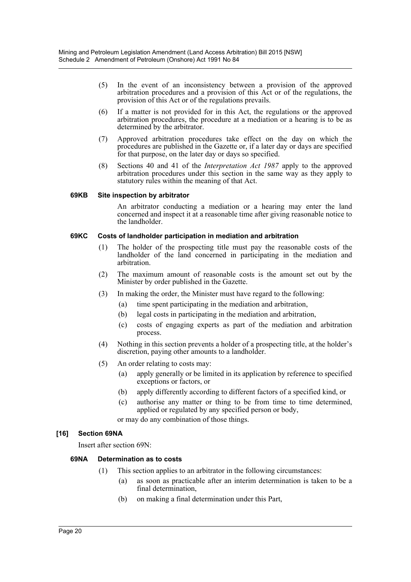- (5) In the event of an inconsistency between a provision of the approved arbitration procedures and a provision of this Act or of the regulations, the provision of this Act or of the regulations prevails.
- (6) If a matter is not provided for in this Act, the regulations or the approved arbitration procedures, the procedure at a mediation or a hearing is to be as determined by the arbitrator.
- (7) Approved arbitration procedures take effect on the day on which the procedures are published in the Gazette or, if a later day or days are specified for that purpose, on the later day or days so specified.
- (8) Sections 40 and 41 of the *Interpretation Act 1987* apply to the approved arbitration procedures under this section in the same way as they apply to statutory rules within the meaning of that Act.

#### **69KB Site inspection by arbitrator**

An arbitrator conducting a mediation or a hearing may enter the land concerned and inspect it at a reasonable time after giving reasonable notice to the landholder.

#### **69KC Costs of landholder participation in mediation and arbitration**

- (1) The holder of the prospecting title must pay the reasonable costs of the landholder of the land concerned in participating in the mediation and arbitration.
- (2) The maximum amount of reasonable costs is the amount set out by the Minister by order published in the Gazette.
- (3) In making the order, the Minister must have regard to the following:
	- (a) time spent participating in the mediation and arbitration,
	- (b) legal costs in participating in the mediation and arbitration,
	- (c) costs of engaging experts as part of the mediation and arbitration process.
- (4) Nothing in this section prevents a holder of a prospecting title, at the holder's discretion, paying other amounts to a landholder.
- (5) An order relating to costs may:
	- (a) apply generally or be limited in its application by reference to specified exceptions or factors, or
	- (b) apply differently according to different factors of a specified kind, or
	- (c) authorise any matter or thing to be from time to time determined, applied or regulated by any specified person or body,

or may do any combination of those things.

#### **[16] Section 69NA**

Insert after section 69N:

#### **69NA Determination as to costs**

- (1) This section applies to an arbitrator in the following circumstances:
	- (a) as soon as practicable after an interim determination is taken to be a final determination,
	- (b) on making a final determination under this Part,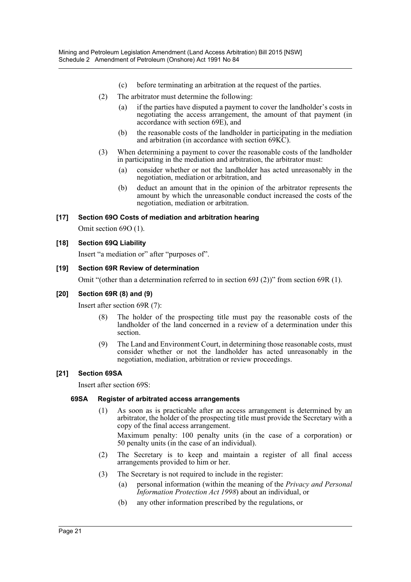- (c) before terminating an arbitration at the request of the parties.
- (2) The arbitrator must determine the following:
	- (a) if the parties have disputed a payment to cover the landholder's costs in negotiating the access arrangement, the amount of that payment (in accordance with section 69E), and
	- (b) the reasonable costs of the landholder in participating in the mediation and arbitration (in accordance with section 69KC).
- (3) When determining a payment to cover the reasonable costs of the landholder in participating in the mediation and arbitration, the arbitrator must:
	- (a) consider whether or not the landholder has acted unreasonably in the negotiation, mediation or arbitration, and
	- (b) deduct an amount that in the opinion of the arbitrator represents the amount by which the unreasonable conduct increased the costs of the negotiation, mediation or arbitration.

# **[17] Section 69O Costs of mediation and arbitration hearing**

Omit section 69O (1).

# **[18] Section 69Q Liability**

Insert "a mediation or" after "purposes of".

# **[19] Section 69R Review of determination**

Omit "(other than a determination referred to in section 69J (2))" from section 69R (1).

#### **[20] Section 69R (8) and (9)**

Insert after section 69R (7):

- The holder of the prospecting title must pay the reasonable costs of the landholder of the land concerned in a review of a determination under this section.
- (9) The Land and Environment Court, in determining those reasonable costs, must consider whether or not the landholder has acted unreasonably in the negotiation, mediation, arbitration or review proceedings.

# **[21] Section 69SA**

Insert after section 69S:

#### **69SA Register of arbitrated access arrangements**

(1) As soon as is practicable after an access arrangement is determined by an arbitrator, the holder of the prospecting title must provide the Secretary with a copy of the final access arrangement.

Maximum penalty: 100 penalty units (in the case of a corporation) or 50 penalty units (in the case of an individual).

- (2) The Secretary is to keep and maintain a register of all final access arrangements provided to him or her.
- (3) The Secretary is not required to include in the register:
	- (a) personal information (within the meaning of the *Privacy and Personal Information Protection Act 1998*) about an individual, or
	- (b) any other information prescribed by the regulations, or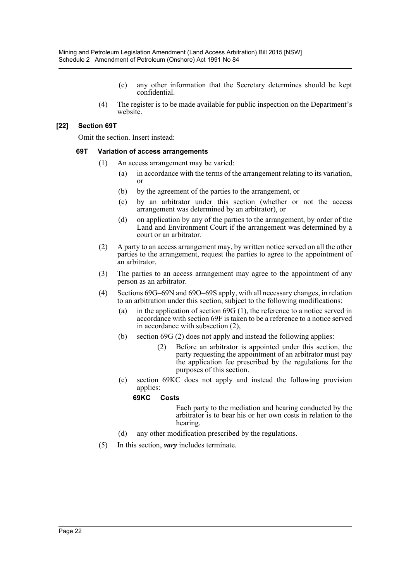- (c) any other information that the Secretary determines should be kept confidential.
- (4) The register is to be made available for public inspection on the Department's website.

#### **[22] Section 69T**

Omit the section. Insert instead:

#### **69T Variation of access arrangements**

- (1) An access arrangement may be varied:
	- (a) in accordance with the terms of the arrangement relating to its variation, or
	- (b) by the agreement of the parties to the arrangement, or
	- (c) by an arbitrator under this section (whether or not the access arrangement was determined by an arbitrator), or
	- (d) on application by any of the parties to the arrangement, by order of the Land and Environment Court if the arrangement was determined by a court or an arbitrator.
- (2) A party to an access arrangement may, by written notice served on all the other parties to the arrangement, request the parties to agree to the appointment of an arbitrator.
- (3) The parties to an access arrangement may agree to the appointment of any person as an arbitrator.
- (4) Sections 69G–69N and 69O–69S apply, with all necessary changes, in relation to an arbitration under this section, subject to the following modifications:
	- (a) in the application of section 69G (1), the reference to a notice served in accordance with section 69F is taken to be a reference to a notice served in accordance with subsection (2),
	- (b) section 69G (2) does not apply and instead the following applies:
		- (2) Before an arbitrator is appointed under this section, the party requesting the appointment of an arbitrator must pay the application fee prescribed by the regulations for the purposes of this section.
	- (c) section 69KC does not apply and instead the following provision applies:

#### **69KC Costs**

Each party to the mediation and hearing conducted by the arbitrator is to bear his or her own costs in relation to the hearing.

- (d) any other modification prescribed by the regulations.
- (5) In this section, *vary* includes terminate.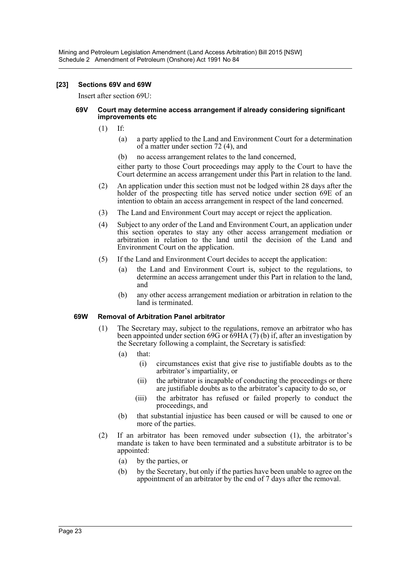#### **[23] Sections 69V and 69W**

Insert after section 69U:

#### **69V Court may determine access arrangement if already considering significant improvements etc**

- (1) If:
	- (a) a party applied to the Land and Environment Court for a determination of a matter under section 72 (4), and
	- (b) no access arrangement relates to the land concerned,

either party to those Court proceedings may apply to the Court to have the Court determine an access arrangement under this Part in relation to the land.

- (2) An application under this section must not be lodged within 28 days after the holder of the prospecting title has served notice under section 69E of an intention to obtain an access arrangement in respect of the land concerned.
- (3) The Land and Environment Court may accept or reject the application.
- (4) Subject to any order of the Land and Environment Court, an application under this section operates to stay any other access arrangement mediation or arbitration in relation to the land until the decision of the Land and Environment Court on the application.
- (5) If the Land and Environment Court decides to accept the application:
	- (a) the Land and Environment Court is, subject to the regulations, to determine an access arrangement under this Part in relation to the land, and
	- (b) any other access arrangement mediation or arbitration in relation to the land is terminated.

#### **69W Removal of Arbitration Panel arbitrator**

- (1) The Secretary may, subject to the regulations, remove an arbitrator who has been appointed under section 69G or 69HA (7) (b) if, after an investigation by the Secretary following a complaint, the Secretary is satisfied:
	- (a) that:
		- (i) circumstances exist that give rise to justifiable doubts as to the arbitrator's impartiality, or
		- (ii) the arbitrator is incapable of conducting the proceedings or there are justifiable doubts as to the arbitrator's capacity to do so, or
		- (iii) the arbitrator has refused or failed properly to conduct the proceedings, and
	- (b) that substantial injustice has been caused or will be caused to one or more of the parties.
- (2) If an arbitrator has been removed under subsection (1), the arbitrator's mandate is taken to have been terminated and a substitute arbitrator is to be appointed:
	- (a) by the parties, or
	- (b) by the Secretary, but only if the parties have been unable to agree on the appointment of an arbitrator by the end of 7 days after the removal.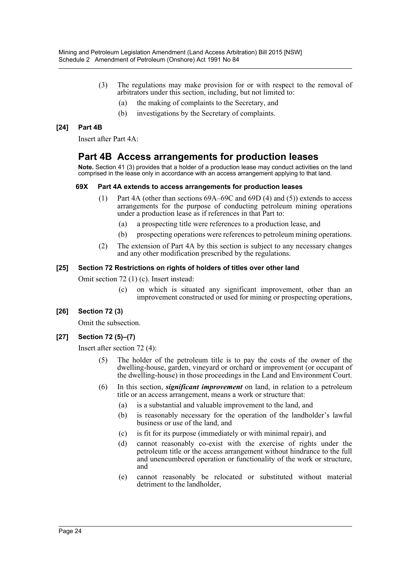- (3) The regulations may make provision for or with respect to the removal of arbitrators under this section, including, but not limited to:
	- (a) the making of complaints to the Secretary, and
	- (b) investigations by the Secretary of complaints.

# **[24] Part 4B**

Insert after Part 4A:

# **Part 4B Access arrangements for production leases**

**Note.** Section 41 (3) provides that a holder of a production lease may conduct activities on the land comprised in the lease only in accordance with an access arrangement applying to that land.

#### **69X Part 4A extends to access arrangements for production leases**

- (1) Part 4A (other than sections 69A–69C and 69D (4) and (5)) extends to access arrangements for the purpose of conducting petroleum mining operations under a production lease as if references in that Part to:
	- (a) a prospecting title were references to a production lease, and
	- (b) prospecting operations were references to petroleum mining operations.
- (2) The extension of Part 4A by this section is subject to any necessary changes and any other modification prescribed by the regulations.

# **[25] Section 72 Restrictions on rights of holders of titles over other land**

Omit section 72 (1) (c). Insert instead:

(c) on which is situated any significant improvement, other than an improvement constructed or used for mining or prospecting operations,

# **[26] Section 72 (3)**

Omit the subsection.

# **[27] Section 72 (5)–(7)**

Insert after section 72 (4):

- (5) The holder of the petroleum title is to pay the costs of the owner of the dwelling-house, garden, vineyard or orchard or improvement (or occupant of the dwelling-house) in those proceedings in the Land and Environment Court.
- (6) In this section, *significant improvement* on land, in relation to a petroleum title or an access arrangement, means a work or structure that:
	- (a) is a substantial and valuable improvement to the land, and
	- (b) is reasonably necessary for the operation of the landholder's lawful business or use of the land, and
	- (c) is fit for its purpose (immediately or with minimal repair), and
	- (d) cannot reasonably co-exist with the exercise of rights under the petroleum title or the access arrangement without hindrance to the full and unencumbered operation or functionality of the work or structure, and
	- (e) cannot reasonably be relocated or substituted without material detriment to the landholder,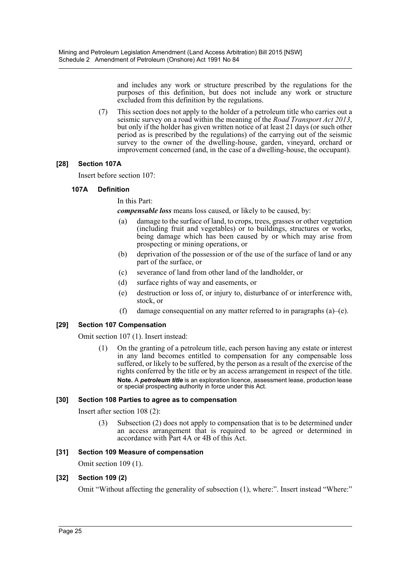and includes any work or structure prescribed by the regulations for the purposes of this definition, but does not include any work or structure excluded from this definition by the regulations.

(7) This section does not apply to the holder of a petroleum title who carries out a seismic survey on a road within the meaning of the *Road Transport Act 2013*, but only if the holder has given written notice of at least 21 days (or such other period as is prescribed by the regulations) of the carrying out of the seismic survey to the owner of the dwelling-house, garden, vineyard, orchard or improvement concerned (and, in the case of a dwelling-house, the occupant).

# **[28] Section 107A**

Insert before section 107:

#### **107A Definition**

In this Part:

*compensable loss* means loss caused, or likely to be caused, by:

- (a) damage to the surface of land, to crops, trees, grasses or other vegetation (including fruit and vegetables) or to buildings, structures or works, being damage which has been caused by or which may arise from prospecting or mining operations, or
- (b) deprivation of the possession or of the use of the surface of land or any part of the surface, or
- (c) severance of land from other land of the landholder, or
- (d) surface rights of way and easements, or
- (e) destruction or loss of, or injury to, disturbance of or interference with, stock, or
- (f) damage consequential on any matter referred to in paragraphs  $(a)$ –(e).

#### **[29] Section 107 Compensation**

Omit section 107 (1). Insert instead:

(1) On the granting of a petroleum title, each person having any estate or interest in any land becomes entitled to compensation for any compensable loss suffered, or likely to be suffered, by the person as a result of the exercise of the rights conferred by the title or by an access arrangement in respect of the title. **Note.** A *petroleum title* is an exploration licence, assessment lease, production lease or special prospecting authority in force under this Act.

#### **[30] Section 108 Parties to agree as to compensation**

Insert after section 108 (2):

(3) Subsection (2) does not apply to compensation that is to be determined under an access arrangement that is required to be agreed or determined in accordance with Part 4A or 4B of this Act.

#### **[31] Section 109 Measure of compensation**

Omit section 109 (1).

#### **[32] Section 109 (2)**

Omit "Without affecting the generality of subsection (1), where:". Insert instead "Where:"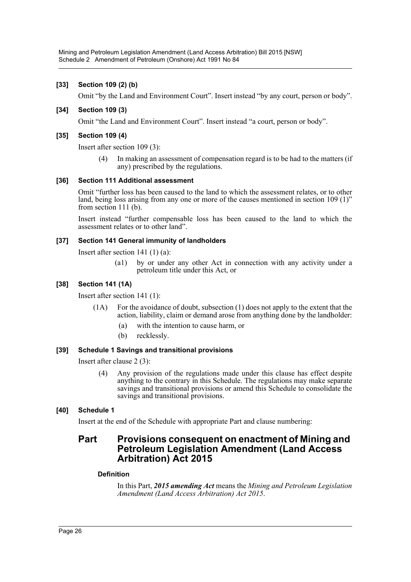# **[33] Section 109 (2) (b)**

Omit "by the Land and Environment Court". Insert instead "by any court, person or body".

# **[34] Section 109 (3)**

Omit "the Land and Environment Court". Insert instead "a court, person or body".

# **[35] Section 109 (4)**

Insert after section 109 (3):

(4) In making an assessment of compensation regard is to be had to the matters (if any) prescribed by the regulations.

#### **[36] Section 111 Additional assessment**

Omit "further loss has been caused to the land to which the assessment relates, or to other land, being loss arising from any one or more of the causes mentioned in section 109 (1)" from section 111 (b).

Insert instead "further compensable loss has been caused to the land to which the assessment relates or to other land".

# **[37] Section 141 General immunity of landholders**

Insert after section 141 (1) (a):

(a1) by or under any other Act in connection with any activity under a petroleum title under this Act, or

# **[38] Section 141 (1A)**

Insert after section 141 (1):

- (1A) For the avoidance of doubt, subsection (1) does not apply to the extent that the action, liability, claim or demand arose from anything done by the landholder:
	- (a) with the intention to cause harm, or
	- (b) recklessly.

#### **[39] Schedule 1 Savings and transitional provisions**

Insert after clause 2 (3):

(4) Any provision of the regulations made under this clause has effect despite anything to the contrary in this Schedule. The regulations may make separate savings and transitional provisions or amend this Schedule to consolidate the savings and transitional provisions.

# **[40] Schedule 1**

Insert at the end of the Schedule with appropriate Part and clause numbering:

# **Part Provisions consequent on enactment of Mining and Petroleum Legislation Amendment (Land Access Arbitration) Act 2015**

#### **Definition**

In this Part, *2015 amending Act* means the *Mining and Petroleum Legislation Amendment (Land Access Arbitration) Act 2015*.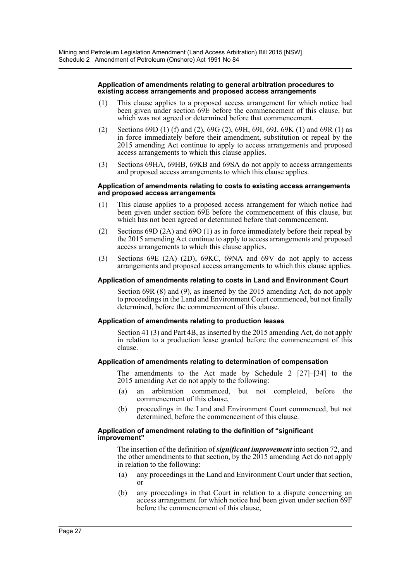#### **Application of amendments relating to general arbitration procedures to existing access arrangements and proposed access arrangements**

- (1) This clause applies to a proposed access arrangement for which notice had been given under section 69E before the commencement of this clause, but which was not agreed or determined before that commencement.
- (2) Sections 69D (1) (f) and (2), 69G (2), 69H, 69I, 69J, 69K (1) and 69R (1) as in force immediately before their amendment, substitution or repeal by the 2015 amending Act continue to apply to access arrangements and proposed access arrangements to which this clause applies.
- (3) Sections 69HA, 69HB, 69KB and 69SA do not apply to access arrangements and proposed access arrangements to which this clause applies.

#### **Application of amendments relating to costs to existing access arrangements and proposed access arrangements**

- (1) This clause applies to a proposed access arrangement for which notice had been given under section 69E before the commencement of this clause, but which has not been agreed or determined before that commencement.
- (2) Sections 69D (2A) and 69O (1) as in force immediately before their repeal by the 2015 amending Act continue to apply to access arrangements and proposed access arrangements to which this clause applies.
- (3) Sections 69E (2A)–(2D), 69KC, 69NA and 69V do not apply to access arrangements and proposed access arrangements to which this clause applies.

#### **Application of amendments relating to costs in Land and Environment Court**

Section 69R (8) and (9), as inserted by the 2015 amending Act, do not apply to proceedings in the Land and Environment Court commenced, but not finally determined, before the commencement of this clause.

#### **Application of amendments relating to production leases**

Section 41 (3) and Part 4B, as inserted by the 2015 amending Act, do not apply in relation to a production lease granted before the commencement of this clause.

#### **Application of amendments relating to determination of compensation**

The amendments to the Act made by Schedule 2 [27]–[34] to the 2015 amending Act do not apply to the following:

- (a) an arbitration commenced, but not completed, before the commencement of this clause,
- (b) proceedings in the Land and Environment Court commenced, but not determined, before the commencement of this clause.

#### **Application of amendment relating to the definition of "significant improvement"**

The insertion of the definition of *significant improvement* into section 72, and the other amendments to that section, by the 2015 amending Act do not apply in relation to the following:

- (a) any proceedings in the Land and Environment Court under that section, or
- (b) any proceedings in that Court in relation to a dispute concerning an access arrangement for which notice had been given under section 69F before the commencement of this clause,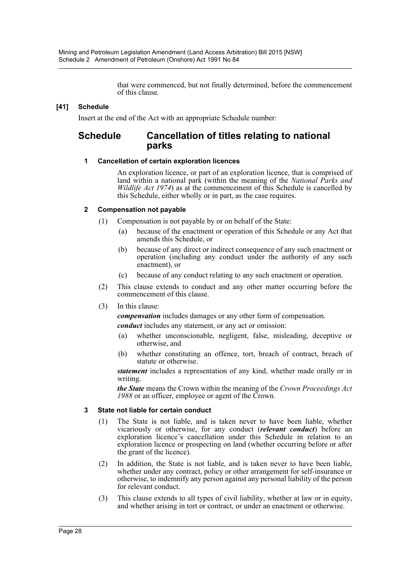that were commenced, but not finally determined, before the commencement of this clause.

# **[41] Schedule**

Insert at the end of the Act with an appropriate Schedule number:

# **Schedule Cancellation of titles relating to national parks**

# **1 Cancellation of certain exploration licences**

An exploration licence, or part of an exploration licence, that is comprised of land within a national park (within the meaning of the *National Parks and Wildlife Act 1974*) as at the commencement of this Schedule is cancelled by this Schedule, either wholly or in part, as the case requires.

# **2 Compensation not payable**

(1) Compensation is not payable by or on behalf of the State:

- (a) because of the enactment or operation of this Schedule or any Act that amends this Schedule, or
- (b) because of any direct or indirect consequence of any such enactment or operation (including any conduct under the authority of any such enactment), or
- (c) because of any conduct relating to any such enactment or operation.
- (2) This clause extends to conduct and any other matter occurring before the commencement of this clause.

# (3) In this clause:

*compensation* includes damages or any other form of compensation.

*conduct* includes any statement, or any act or omission:

- (a) whether unconscionable, negligent, false, misleading, deceptive or otherwise, and
- (b) whether constituting an offence, tort, breach of contract, breach of statute or otherwise.

*statement* includes a representation of any kind, whether made orally or in writing.

*the State* means the Crown within the meaning of the *Crown Proceedings Act 1988* or an officer, employee or agent of the Crown.

# **3 State not liable for certain conduct**

- (1) The State is not liable, and is taken never to have been liable, whether vicariously or otherwise, for any conduct (*relevant conduct*) before an exploration licence's cancellation under this Schedule in relation to an exploration licence or prospecting on land (whether occurring before or after the grant of the licence).
- (2) In addition, the State is not liable, and is taken never to have been liable, whether under any contract, policy or other arrangement for self-insurance or otherwise, to indemnify any person against any personal liability of the person for relevant conduct.
- (3) This clause extends to all types of civil liability, whether at law or in equity, and whether arising in tort or contract, or under an enactment or otherwise.